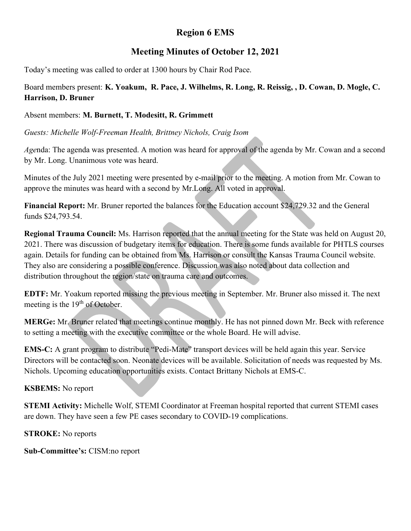# Region 6 EMS

## Meeting Minutes of October 12, 2021

Today's meeting was called to order at 1300 hours by Chair Rod Pace.

Board members present: K. Yoakum, R. Pace, J. Wilhelms, R. Long, R. Reissig, , D. Cowan, D. Mogle, C. Harrison, D. Bruner

### Absent members: M. Burnett, T. Modesitt, R. Grimmett

Guests: Michelle Wolf-Freeman Health, Brittney Nichols, Craig Isom

Agenda: The agenda was presented. A motion was heard for approval of the agenda by Mr. Cowan and a second by Mr. Long. Unanimous vote was heard.

Minutes of the July 2021 meeting were presented by e-mail prior to the meeting. A motion from Mr. Cowan to approve the minutes was heard with a second by Mr.Long. All voted in approval.

Financial Report: Mr. Bruner reported the balances for the Education account \$24,729.32 and the General funds \$24,793.54.

Regional Trauma Council: Ms. Harrison reported that the annual meeting for the State was held on August 20, 2021. There was discussion of budgetary items for education. There is some funds available for PHTLS courses again. Details for funding can be obtained from Ms. Harrison or consult the Kansas Trauma Council website. They also are considering a possible conference. Discussion was also noted about data collection and distribution throughout the region/state on trauma care and outcomes.

EDTF: Mr. Yoakum reported missing the previous meeting in September. Mr. Bruner also missed it. The next meeting is the  $19<sup>th</sup>$  of October.

MERGe: Mr. Bruner related that meetings continue monthly. He has not pinned down Mr. Beck with reference to setting a meeting with the executive committee or the whole Board. He will advise.

EMS-C: A grant program to distribute "Pedi-Mate" transport devices will be held again this year. Service Directors will be contacted soon. Neonate devices will be available. Solicitation of needs was requested by Ms. Nichols. Upcoming education opportunities exists. Contact Brittany Nichols at EMS-C.

#### KSBEMS: No report

STEMI Activity: Michelle Wolf, STEMI Coordinator at Freeman hospital reported that current STEMI cases are down. They have seen a few PE cases secondary to COVID-19 complications.

STROKE: No reports

Sub-Committee's: CISM:no report